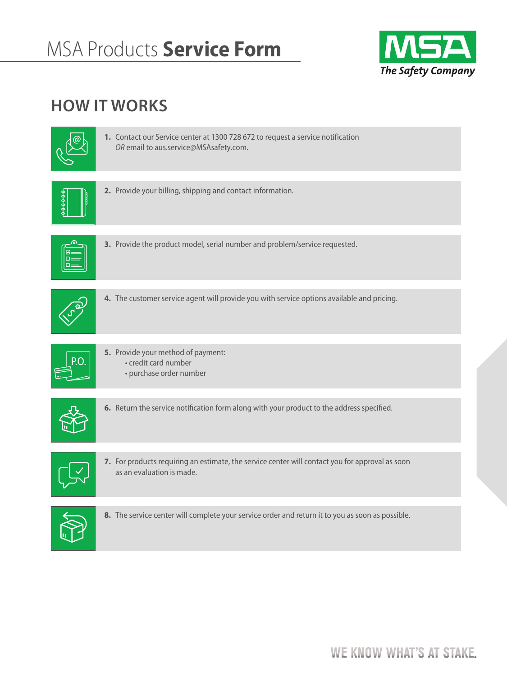

## **HOW IT WORKS**

|       | 1. Contact our Service center at 1300 728 672 to request a service notification<br>OR email to aus.service@MSAsafety.com.    |
|-------|------------------------------------------------------------------------------------------------------------------------------|
| 00000 | 2. Provide your billing, shipping and contact information.                                                                   |
|       | 3. Provide the product model, serial number and problem/service requested.                                                   |
|       | 4. The customer service agent will provide you with service options available and pricing.                                   |
|       | 5. Provide your method of payment:<br>· credit card number<br>• purchase order number                                        |
|       | 6. Return the service notification form along with your product to the address specified.                                    |
|       | 7. For products requiring an estimate, the service center will contact you for approval as soon<br>as an evaluation is made. |
|       | 8. The service center will complete your service order and return it to you as soon as possible.                             |